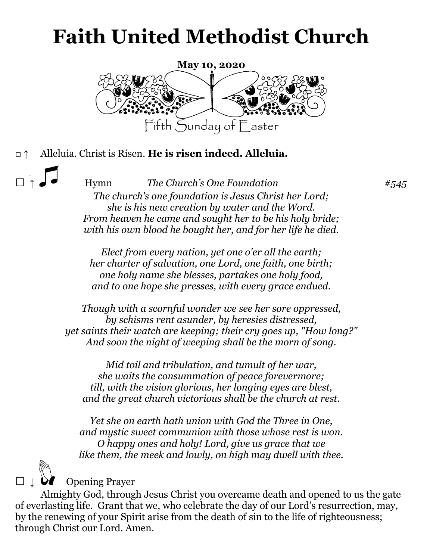# **Faith United Methodist Church**



□ ↑ Alleluia. Christ is Risen. **He is risen indeed. Alleluia.**

□ ↑ Hymn *The Church's One Foundation #545*

*The church's one foundation is Jesus Christ her Lord; she is his new creation by water and the Word. From heaven he came and sought her to be his holy bride; with his own blood he bought her, and for her life he died.*

*Elect from every nation, yet one o'er all the earth; her charter of salvation, one Lord, one faith, one birth; one holy name she blesses, partakes one holy food, and to one hope she presses, with every grace endued.*

*Though with a scornful wonder we see her sore oppressed, by schisms rent asunder, by heresies distressed, yet saints their watch are keeping; their cry goes up, "How long?" And soon the night of weeping shall be the morn of song.*

*Mid toil and tribulation, and tumult of her war, she waits the consummation of peace forevermore; till, with the vision glorious, her longing eyes are blest, and the great church victorious shall be the church at rest.*

*Yet she on earth hath union with God the Three in One, and mystic sweet communion with those whose rest is won. O happy ones and holy! Lord, give us grace that we like them, the meek and lowly, on high may dwell with thee.*

## Opening Prayer

Almighty God, through Jesus Christ you overcame death and opened to us the gate of everlasting life. Grant that we, who celebrate the day of our Lord's resurrection, may, by the renewing of your Spirit arise from the death of sin to the life of righteousness; through Christ our Lord. Amen.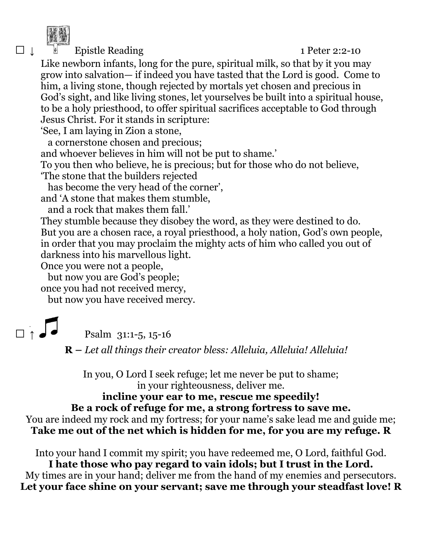

### □ ↓ Epistle Reading 1 Peter 2:2-10

Like newborn infants, long for the pure, spiritual milk, so that by it you may grow into salvation— if indeed you have tasted that the Lord is good. Come to him, a living stone, though rejected by mortals yet chosen and precious in God's sight, and like living stones, let yourselves be built into a spiritual house, to be a holy priesthood, to offer spiritual sacrifices acceptable to God through Jesus Christ. For it stands in scripture:

'See, I am laying in Zion a stone,

a cornerstone chosen and precious;

and whoever believes in him will not be put to shame.'

To you then who believe, he is precious; but for those who do not believe,

'The stone that the builders rejected

has become the very head of the corner',

and 'A stone that makes them stumble,

and a rock that makes them fall.'

They stumble because they disobey the word, as they were destined to do. But you are a chosen race, a royal priesthood, a holy nation, God's own people, in order that you may proclaim the mighty acts of him who called you out of darkness into his marvellous light.

Once you were not a people,

but now you are God's people;

once you had not received mercy,

but now you have received mercy.

 $\Box$   $\uparrow$  Psalm 31:1-5, 15-16

**R –** *Let all things their creator bless: Alleluia, Alleluia! Alleluia!*

In you, O Lord I seek refuge; let me never be put to shame; in your righteousness, deliver me.

#### **incline your ear to me, rescue me speedily! Be a rock of refuge for me, a strong fortress to save me.**

You are indeed my rock and my fortress; for your name's sake lead me and guide me; **Take me out of the net which is hidden for me, for you are my refuge. R**

Into your hand I commit my spirit; you have redeemed me, O Lord, faithful God. **I hate those who pay regard to vain idols; but I trust in the Lord.** My times are in your hand; deliver me from the hand of my enemies and persecutors. **Let your face shine on your servant; save me through your steadfast love! R**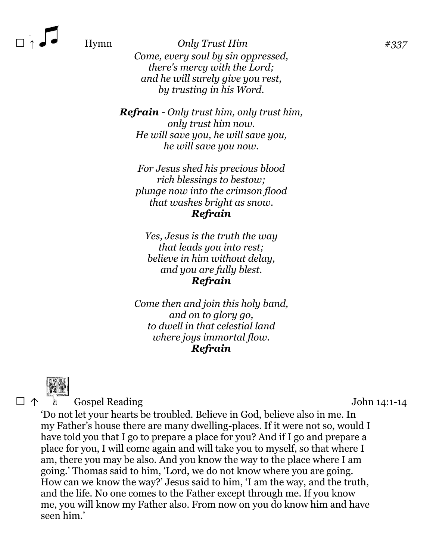$\Box$   $\uparrow$   $\Box$   $\Box$   $\uparrow$   $\Box$   $\downarrow$   $\Box$   $\downarrow$   $\Box$   $\downarrow$   $\Box$   $\downarrow$   $\Box$   $\downarrow$   $\Box$   $\downarrow$   $\Box$   $\downarrow$   $\Box$   $\downarrow$   $\Box$   $\downarrow$   $\Box$   $\downarrow$   $\Box$   $\downarrow$   $\Box$   $\downarrow$   $\Box$   $\downarrow$   $\Box$   $\downarrow$   $\Box$   $\downarrow$   $\Box$   $\downarrow$   $\Box$   $\downarrow$   $\Box$   $\$ *Come, every soul by sin oppressed, there's mercy with the Lord; and he will surely give you rest, by trusting in his Word.*

> *Refrain - Only trust him, only trust him, only trust him now. He will save you, he will save you, he will save you now.*

*For Jesus shed his precious blood rich blessings to bestow; plunge now into the crimson flood that washes bright as snow. Refrain*

*Yes, Jesus is the truth the way that leads you into rest; believe in him without delay, and you are fully blest. Refrain*

*Come then and join this holy band, and on to glory go, to dwell in that celestial land where joys immortal flow. Refrain*



 $\square \uparrow \Box$  Gospel Reading John 14:1-14

'Do not let your hearts be troubled. Believe in God, believe also in me. In my Father's house there are many dwelling-places. If it were not so, would I have told you that I go to prepare a place for you? And if I go and prepare a place for you, I will come again and will take you to myself, so that where I am, there you may be also. And you know the way to the place where I am going.' Thomas said to him, 'Lord, we do not know where you are going. How can we know the way?' Jesus said to him, 'I am the way, and the truth, and the life. No one comes to the Father except through me. If you know me, you will know my Father also. From now on you do know him and have seen him.'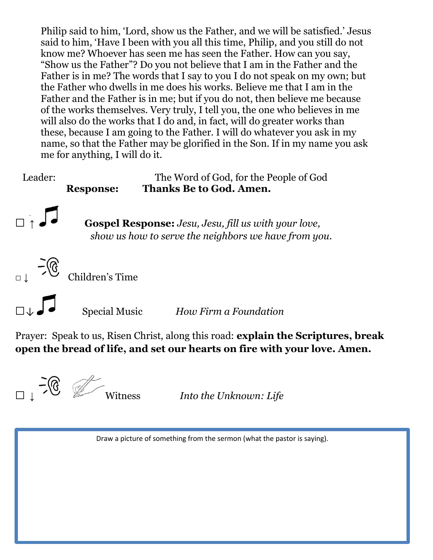Philip said to him, 'Lord, show us the Father, and we will be satisfied.' Jesus said to him, 'Have I been with you all this time, Philip, and you still do not know me? Whoever has seen me has seen the Father. How can you say, "Show us the Father"? Do you not believe that I am in the Father and the Father is in me? The words that I say to you I do not speak on my own; but the Father who dwells in me does his works. Believe me that I am in the Father and the Father is in me; but if you do not, then believe me because of the works themselves. Very truly, I tell you, the one who believes in me will also do the works that I do and, in fact, will do greater works than these, because I am going to the Father. I will do whatever you ask in my name, so that the Father may be glorified in the Son. If in my name you ask me for anything, I will do it.



Prayer: Speak to us, Risen Christ, along this road: **explain the Scriptures, break open the bread of life, and set our hearts on fire with your love. Amen.**

 $\frac{1}{2}$   $\frac{1}{2}$  Witness *Into the Unknown: Life* 

Draw a picture of something from the sermon (what the pastor is saying).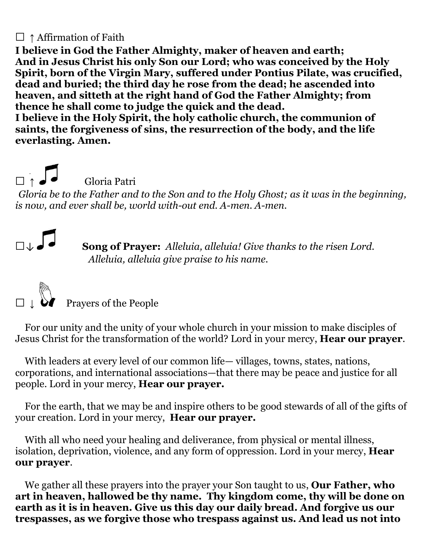### □ <sup>↑</sup> Affirmation of Faith

**I believe in God the Father Almighty, maker of heaven and earth; And in Jesus Christ his only Son our Lord; who was conceived by the Holy Spirit, born of the Virgin Mary, suffered under Pontius Pilate, was crucified, dead and buried; the third day he rose from the dead; he ascended into heaven, and sitteth at the right hand of God the Father Almighty; from thence he shall come to judge the quick and the dead.**

**I believe in the Holy Spirit, the holy catholic church, the communion of saints, the forgiveness of sins, the resurrection of the body, and the life everlasting. Amen.** Ĭ

# Gloria Patri

*Gloria be to the Father and to the Son and to the Holy Ghost; as it was in the beginning, is now, and ever shall be, world with-out end. A-men. A-men.*

> Song of Prayer: Alleluia, alleluia! Give thanks to the risen Lord. *Alleluia, alleluia give praise to his name.*

Prayers of the People

 For our unity and the unity of your whole church in your mission to make disciples of Jesus Christ for the transformation of the world? Lord in your mercy, **Hear our prayer**.

With leaders at every level of our common life— villages, towns, states, nations, corporations, and international associations—that there may be peace and justice for all people. Lord in your mercy, **Hear our prayer.**

 For the earth, that we may be and inspire others to be good stewards of all of the gifts of your creation. Lord in your mercy, **Hear our prayer.**

With all who need your healing and deliverance, from physical or mental illness, isolation, deprivation, violence, and any form of oppression. Lord in your mercy, **Hear our prayer**.

 We gather all these prayers into the prayer your Son taught to us, **Our Father, who art in heaven, hallowed be thy name. Thy kingdom come, thy will be done on earth as it is in heaven. Give us this day our daily bread. And forgive us our trespasses, as we forgive those who trespass against us. And lead us not into**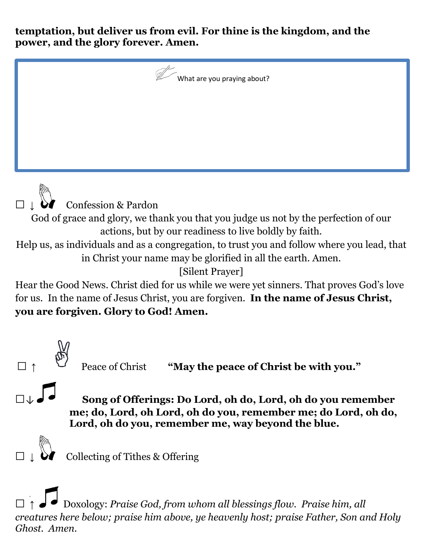**temptation, but deliver us from evil. For thine is the kingdom, and the power, and the glory forever. Amen.**



 $\bigotimes^{\mathbb{N}\mathbb{N}}$  Collecting of Tithes & Offering

□ ↑ Doxology: *Praise God, from whom all blessings flow. Praise him, all creatures here below; praise him above, ye heavenly host; praise Father, Son and Holy Ghost. Amen.*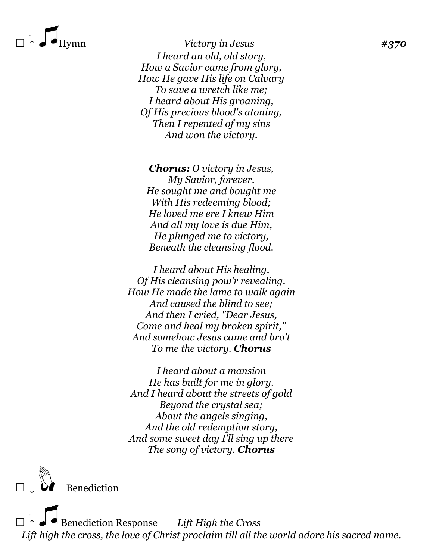

 $\Box$   $\uparrow$   $\Box$   $\Box$   $\uparrow$   $\Box$   $\Box$   $\downarrow$   $\Box$   $\Box$   $\downarrow$   $\Box$   $\Box$   $\downarrow$   $\Box$   $\Box$   $\downarrow$   $\Box$   $\Box$   $\parallel$   $\Box$   $\parallel$   $\Box$   $\parallel$   $\Box$   $\parallel$   $\Box$   $\parallel$   $\Box$   $\parallel$   $\Box$   $\parallel$   $\Box$   $\parallel$   $\Box$   $\parallel$   $\Box$   $\parallel$   $\Box$   $\parallel$   $\Box$   $\parallel$   $\Box$  *I heard an old, old story, How a Savior came from glory, How He gave His life on Calvary To save a wretch like me; I heard about His groaning, Of His precious blood's atoning, Then I repented of my sins And won the victory.*

> *Chorus: O victory in Jesus, My Savior, forever. He sought me and bought me With His redeeming blood; He loved me ere I knew Him And all my love is due Him, He plunged me to victory, Beneath the cleansing flood.*

*I heard about His healing, Of His cleansing pow'r revealing. How He made the lame to walk again And caused the blind to see; And then I cried, "Dear Jesus, Come and heal my broken spirit," And somehow Jesus came and bro't To me the victory. Chorus*

*I heard about a mansion He has built for me in glory. And I heard about the streets of gold Beyond the crystal sea; About the angels singing, And the old redemption story, And some sweet day I'll sing up there The song of victory. Chorus*

□ ↓ Benediction

□ ↑ Benediction Response *Lift High the Cross Lift high the cross, the love of Christ proclaim till all the world adore his sacred name.*